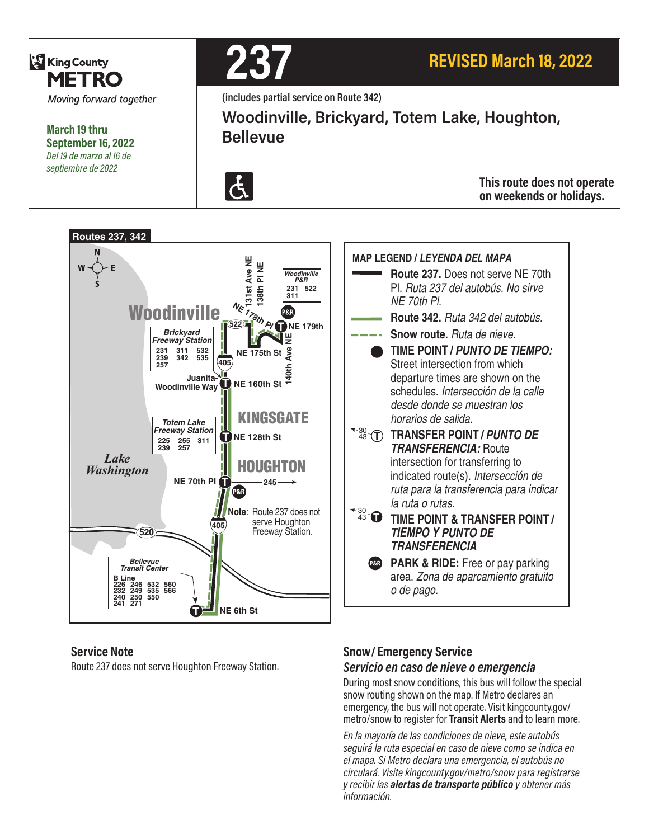

**March 19 thru September 16, 2022** *Del 19 de marzo al 16 de septiembre de 2022*



**(includes partial service on Route 342)**

**Woodinville, Brickyard, Totem Lake, Houghton, Bellevue**



**This route does not operate on weekends or holidays.**



#### **Service Note**

Route 237 does not serve Houghton Freeway Station.

#### **Snow/ Emergency Service**  *Servicio en caso de nieve o emergencia*

During most snow conditions, this bus will follow the special snow routing shown on the map. If Metro declares an emergency, the bus will not operate. Visit kingcounty.gov/ metro/snow to register for **Transit Alerts** and to learn more.

*En la mayoría de las condiciones de nieve, este autobús seguirá la ruta especial en caso de nieve como se indica en el mapa. Si Metro declara una emergencia, el autobús no circulará. Visite kingcounty.gov/metro/snow para registrarse y recibir las alertas de transporte público y obtener más información.*